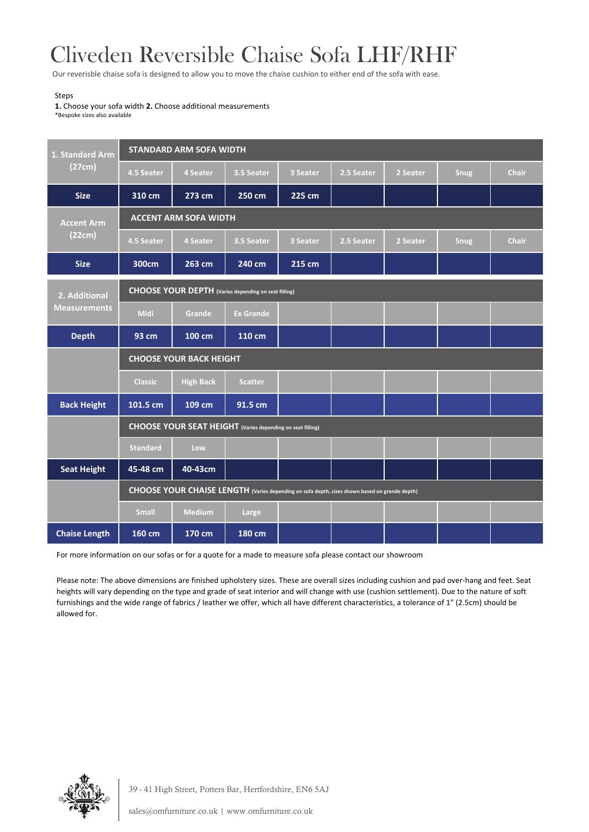## Cliveden Reversible Chaise Sofa LHF/RHF

Our reverisble chaise sofa is designed to allow you to move the chaise cushion to either end of the sofa with ease.

## Steps

**1.** Choose your sofa width **2.** Choose additional measurements \*Bespoke sizes also available

| 1. Standard Arm<br>(27cm)            | <b>STANDARD ARM SOFA WIDTH</b>                                                                |                  |                  |          |            |          |             |              |  |  |
|--------------------------------------|-----------------------------------------------------------------------------------------------|------------------|------------------|----------|------------|----------|-------------|--------------|--|--|
|                                      | 4.5 Seater                                                                                    | 4 Seater         | 3.5 Seater       | 3 Seater | 2.5 Seater | 2 Seater | Snug        | <b>Chair</b> |  |  |
| <b>Size</b>                          | 310 cm                                                                                        | 273 cm           | 250 cm           | 225 cm   |            |          |             |              |  |  |
|                                      |                                                                                               |                  |                  |          |            |          |             |              |  |  |
| <b>Accent Arm</b><br>(22cm)          | <b>ACCENT ARM SOFA WIDTH</b>                                                                  |                  |                  |          |            |          |             |              |  |  |
|                                      | 4.5 Seater                                                                                    | 4 Seater         | 3.5 Seater       | 3 Seater | 2.5 Seater | 2 Seater | <b>Snug</b> | <b>Chair</b> |  |  |
| <b>Size</b>                          | 300cm                                                                                         | 263 cm           | 240 cm           | 215 cm   |            |          |             |              |  |  |
| 2. Additional<br><b>Measurements</b> | <b>CHOOSE YOUR DEPTH</b> (Varies depending on seat filling)                                   |                  |                  |          |            |          |             |              |  |  |
|                                      | <b>Midi</b>                                                                                   | Grande           | <b>Ex Grande</b> |          |            |          |             |              |  |  |
| <b>Depth</b>                         | 93 cm                                                                                         | 100 cm           | 110 cm           |          |            |          |             |              |  |  |
|                                      | <b>CHOOSE YOUR BACK HEIGHT</b>                                                                |                  |                  |          |            |          |             |              |  |  |
|                                      | <b>Classic</b>                                                                                | <b>High Back</b> | <b>Scatter</b>   |          |            |          |             |              |  |  |
| <b>Back Height</b>                   | 101.5 cm                                                                                      | 109 cm           | 91.5 cm          |          |            |          |             |              |  |  |
|                                      | <b>CHOOSE YOUR SEAT HEIGHT</b> (Varies depending on seat filling)                             |                  |                  |          |            |          |             |              |  |  |
|                                      | <b>Standard</b>                                                                               | Low              |                  |          |            |          |             |              |  |  |
| <b>Seat Height</b>                   | 45-48 cm                                                                                      | 40-43cm          |                  |          |            |          |             |              |  |  |
|                                      | CHOOSE YOUR CHAISE LENGTH (Varies depending on sofa depth, sizes shown based on grande depth) |                  |                  |          |            |          |             |              |  |  |
|                                      | <b>Small</b>                                                                                  | <b>Medium</b>    | Large            |          |            |          |             |              |  |  |
| <b>Chaise Length</b>                 | 160 cm                                                                                        | 170 cm           | 180 cm           |          |            |          |             |              |  |  |

For more information on our sofas or for a quote for a made to measure sofa please contact our showroom

Please note: The above dimensions are finished upholstery sizes. These are overall sizes including cushion and pad over-hang and feet. Seat heights will vary depending on the type and grade of seat interior and will change with use (cushion settlement). Due to the nature of soft furnishings and the wide range of fabrics / leather we offer, which all have different characteristics, a tolerance of 1" (2.5cm) should be allowed for.



39 - 41 High Street, Potters Bar, Hertfordshire, EN6 5AJ